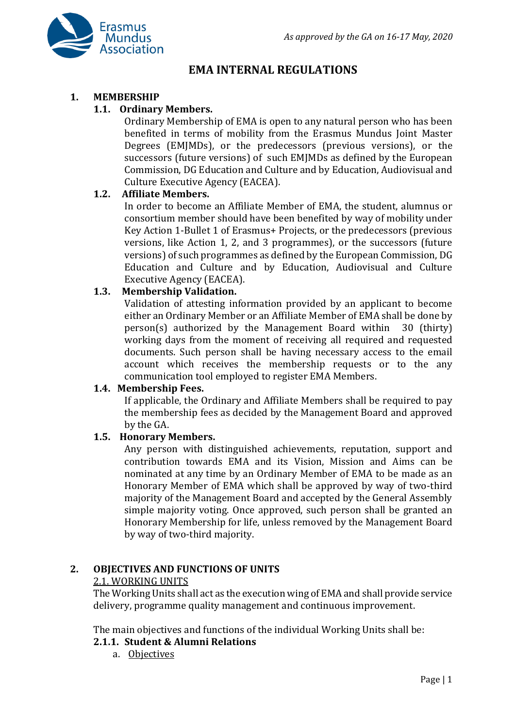

# **EMA INTERNAL REGULATIONS**

#### **1. MEMBERSHIP**

#### **1.1. Ordinary Members.**

Ordinary Membership of EMA is open to any natural person who has been benefited in terms of mobility from the Erasmus Mundus Joint Master Degrees (EMJMDs), or the predecessors (previous versions), or the successors (future versions) of such EMJMDs as defined by the European Commission, DG Education and Culture and by Education, Audiovisual and Culture Executive Agency (EACEA).

#### **1.2. Affiliate Members.**

In order to become an Affiliate Member of EMA, the student, alumnus or consortium member should have been benefited by way of mobility under Key Action 1-Bullet 1 of Erasmus+ Projects, or the predecessors (previous versions, like Action 1, 2, and 3 programmes), or the successors (future versions) of such programmes as defined by the European Commission, DG Education and Culture and by Education, Audiovisual and Culture Executive Agency (EACEA).

#### **1.3. Membership Validation.**

Validation of attesting information provided by an applicant to become either an Ordinary Member or an Affiliate Member of EMA shall be done by person(s) authorized by the Management Board within 30 (thirty) working days from the moment of receiving all required and requested documents. Such person shall be having necessary access to the email account which receives the membership requests or to the any communication tool employed to register EMA Members.

#### **1.4. Membership Fees.**

If applicable, the Ordinary and Affiliate Members shall be required to pay the membership fees as decided by the Management Board and approved by the GA.

#### **1.5. Honorary Members.**

Any person with distinguished achievements, reputation, support and contribution towards EMA and its Vision, Mission and Aims can be nominated at any time by an Ordinary Member of EMA to be made as an Honorary Member of EMA which shall be approved by way of two-third majority of the Management Board and accepted by the General Assembly simple majority voting. Once approved, such person shall be granted an Honorary Membership for life, unless removed by the Management Board by way of two-third majority.

#### **2. OBJECTIVES AND FUNCTIONS OF UNITS**

#### 2.1. WORKING UNITS

The Working Units shall act as the execution wing of EMA and shall provide service delivery, programme quality management and continuous improvement.

The main objectives and functions of the individual Working Units shall be:

#### **2.1.1. Student & Alumni Relations**

a. Objectives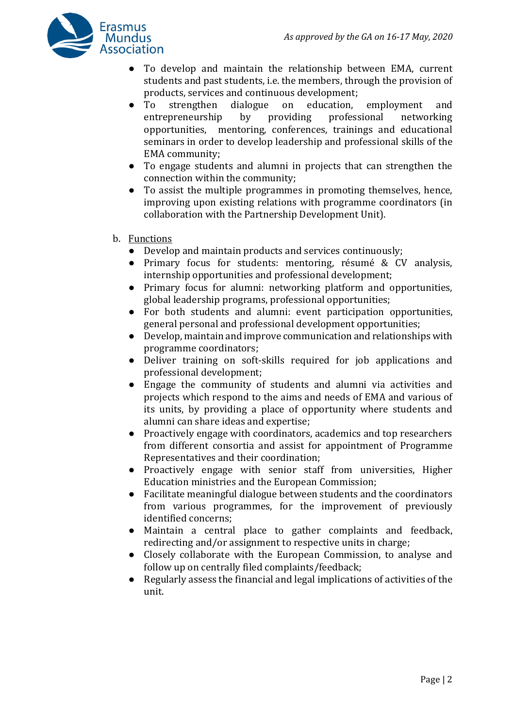

- To develop and maintain the relationship between EMA, current students and past students, i.e. the members, through the provision of products, services and continuous development;
- To strengthen dialogue on education, employment and entrepreneurship by providing professional networking opportunities, mentoring, conferences, trainings and educational seminars in order to develop leadership and professional skills of the EMA community;
- To engage students and alumni in projects that can strengthen the connection within the community;
- To assist the multiple programmes in promoting themselves, hence, improving upon existing relations with programme coordinators (in collaboration with the Partnership Development Unit).
- b. Functions
	- Develop and maintain products and services continuously;
	- Primary focus for students: mentoring, résumé & CV analysis, internship opportunities and professional development;
	- Primary focus for alumni: networking platform and opportunities, global leadership programs, professional opportunities;
	- For both students and alumni: event participation opportunities, general personal and professional development opportunities;
	- Develop, maintain and improve communication and relationships with programme coordinators;
	- Deliver training on soft-skills required for job applications and professional development;
	- Engage the community of students and alumni via activities and projects which respond to the aims and needs of EMA and various of its units, by providing a place of opportunity where students and alumni can share ideas and expertise;
	- Proactively engage with coordinators, academics and top researchers from different consortia and assist for appointment of Programme Representatives and their coordination;
	- Proactively engage with senior staff from universities, Higher Education ministries and the European Commission;
	- Facilitate meaningful dialogue between students and the coordinators from various programmes, for the improvement of previously identified concerns;
	- Maintain a central place to gather complaints and feedback, redirecting and/or assignment to respective units in charge;
	- Closely collaborate with the European Commission, to analyse and follow up on centrally filed complaints/feedback;
	- Regularly assess the financial and legal implications of activities of the unit.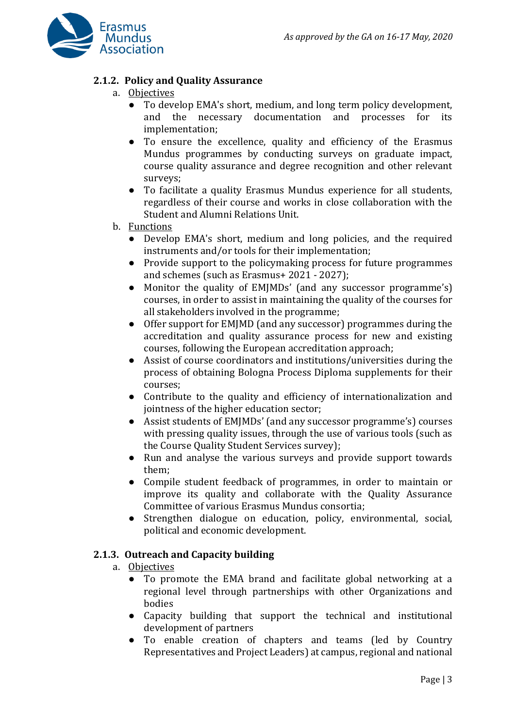

# **2.1.2. Policy and Quality Assurance**

- a. Objectives
	- To develop EMA's short, medium, and long term policy development, and the necessary documentation and processes for its implementation;
	- To ensure the excellence, quality and efficiency of the Erasmus Mundus programmes by conducting surveys on graduate impact, course quality assurance and degree recognition and other relevant surveys;
	- To facilitate a quality Erasmus Mundus experience for all students, regardless of their course and works in close collaboration with the Student and Alumni Relations Unit.

# b. Functions

- Develop EMA's short, medium and long policies, and the required instruments and/or tools for their implementation;
- Provide support to the policymaking process for future programmes and schemes (such as Erasmus+ 2021 - 2027);
- Monitor the quality of EMJMDs' (and any successor programme's) courses, in order to assist in maintaining the quality of the courses for all stakeholders involved in the programme;
- Offer support for EMJMD (and any successor) programmes during the accreditation and quality assurance process for new and existing courses, following the European accreditation approach;
- Assist of course coordinators and institutions/universities during the process of obtaining Bologna Process Diploma supplements for their courses;
- Contribute to the quality and efficiency of internationalization and jointness of the higher education sector;
- Assist students of EMJMDs' (and any successor programme's) courses with pressing quality issues, through the use of various tools (such as the Course Quality Student Services survey);
- Run and analyse the various surveys and provide support towards them;
- Compile student feedback of programmes, in order to maintain or improve its quality and collaborate with the Quality Assurance Committee of various Erasmus Mundus consortia;
- Strengthen dialogue on education, policy, environmental, social, political and economic development.

# **2.1.3. Outreach and Capacity building**

- a. Objectives
	- To promote the EMA brand and facilitate global networking at a regional level through partnerships with other Organizations and bodies
	- Capacity building that support the technical and institutional development of partners
	- To enable creation of chapters and teams (led by Country Representatives and Project Leaders) at campus, regional and national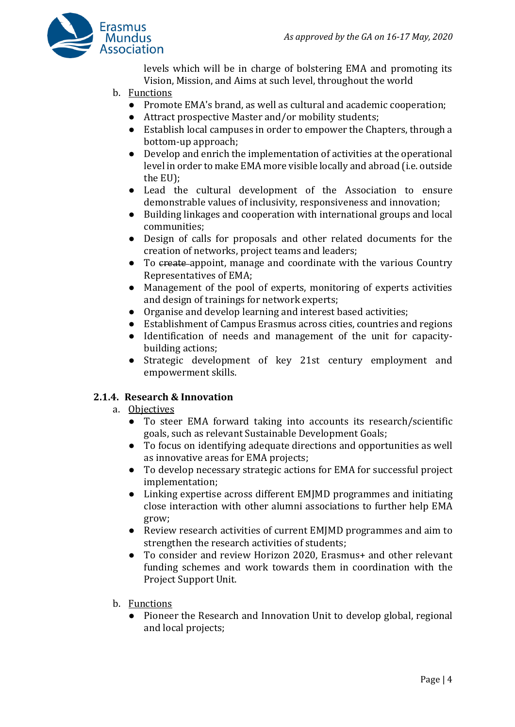

levels which will be in charge of bolstering EMA and promoting its Vision, Mission, and Aims at such level, throughout the world

- b. Functions
	- Promote EMA's brand, as well as cultural and academic cooperation;
	- Attract prospective Master and/or mobility students;
	- Establish local campuses in order to empower the Chapters, through a bottom-up approach;
	- Develop and enrich the implementation of activities at the operational level in order to make EMA more visible locally and abroad (i.e. outside the EU);
	- Lead the cultural development of the Association to ensure demonstrable values of inclusivity, responsiveness and innovation;
	- Building linkages and cooperation with international groups and local communities;
	- Design of calls for proposals and other related documents for the creation of networks, project teams and leaders;
	- To create appoint, manage and coordinate with the various Country Representatives of EMA;
	- Management of the pool of experts, monitoring of experts activities and design of trainings for network experts;
	- Organise and develop learning and interest based activities;
	- Establishment of Campus Erasmus across cities, countries and regions
	- Identification of needs and management of the unit for capacitybuilding actions;
	- Strategic development of key 21st century employment and empowerment skills.

# **2.1.4. Research & Innovation**

- a. Objectives
	- To steer EMA forward taking into accounts its research/scientific goals, such as relevant Sustainable Development Goals;
	- To focus on identifying adequate directions and opportunities as well as innovative areas for EMA projects;
	- To develop necessary strategic actions for EMA for successful project implementation;
	- Linking expertise across different EMJMD programmes and initiating close interaction with other alumni associations to further help EMA grow;
	- Review research activities of current EMJMD programmes and aim to strengthen the research activities of students;
	- To consider and review Horizon 2020, Erasmus+ and other relevant funding schemes and work towards them in coordination with the Project Support Unit.
- b. Functions
	- Pioneer the Research and Innovation Unit to develop global, regional and local projects;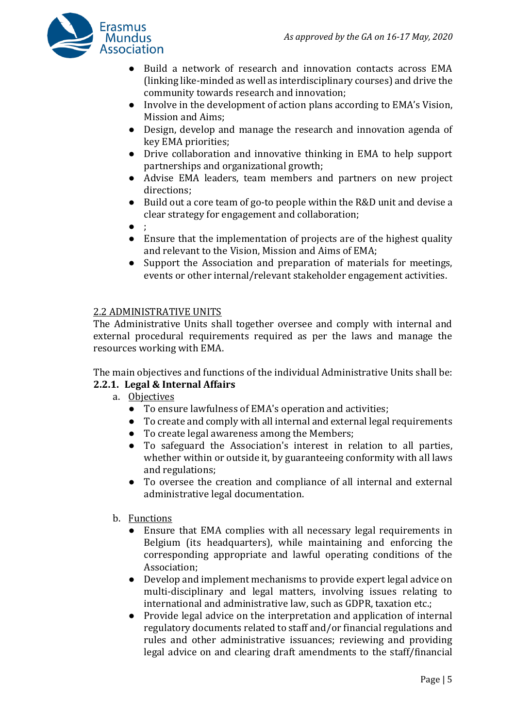

- Build a network of research and innovation contacts across EMA (linking like-minded as well as interdisciplinary courses) and drive the community towards research and innovation;
- Involve in the development of action plans according to EMA's Vision, Mission and Aims;
- Design, develop and manage the research and innovation agenda of key EMA priorities;
- Drive collaboration and innovative thinking in EMA to help support partnerships and organizational growth;
- Advise EMA leaders, team members and partners on new project directions;
- Build out a core team of go-to people within the R&D unit and devise a clear strategy for engagement and collaboration;
- ;
- Ensure that the implementation of projects are of the highest quality and relevant to the Vision, Mission and Aims of EMA;
- Support the Association and preparation of materials for meetings, events or other internal/relevant stakeholder engagement activities.

# 2.2 ADMINISTRATIVE UNITS

The Administrative Units shall together oversee and comply with internal and external procedural requirements required as per the laws and manage the resources working with EMA.

The main objectives and functions of the individual Administrative Units shall be:

# **2.2.1. Legal & Internal Affairs**

- a. Objectives
	- To ensure lawfulness of EMA's operation and activities;
	- To create and comply with all internal and external legal requirements
	- To create legal awareness among the Members;
	- To safeguard the Association's interest in relation to all parties, whether within or outside it, by guaranteeing conformity with all laws and regulations;
	- To oversee the creation and compliance of all internal and external administrative legal documentation.
- b. Functions
	- Ensure that EMA complies with all necessary legal requirements in Belgium (its headquarters), while maintaining and enforcing the corresponding appropriate and lawful operating conditions of the Association;
	- Develop and implement mechanisms to provide expert legal advice on multi-disciplinary and legal matters, involving issues relating to international and administrative law, such as GDPR, taxation etc.;
	- Provide legal advice on the interpretation and application of internal regulatory documents related to staff and/or financial regulations and rules and other administrative issuances; reviewing and providing legal advice on and clearing draft amendments to the staff/financial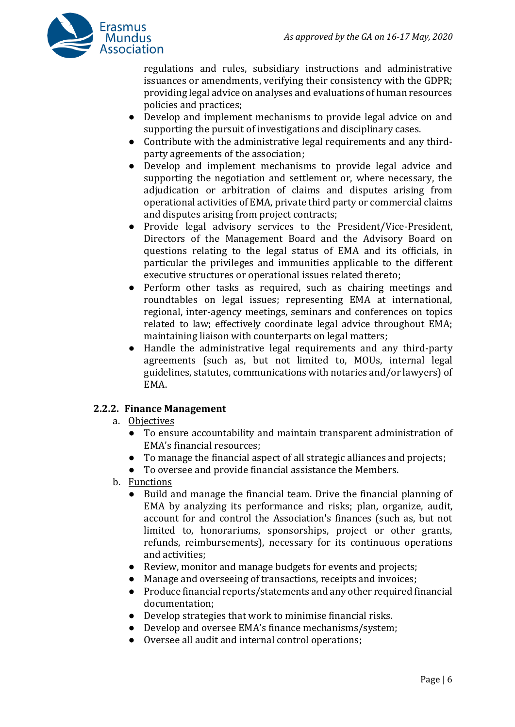

regulations and rules, subsidiary instructions and administrative issuances or amendments, verifying their consistency with the GDPR; providing legal advice on analyses and evaluations of human resources policies and practices;

- Develop and implement mechanisms to provide legal advice on and supporting the pursuit of investigations and disciplinary cases.
- Contribute with the administrative legal requirements and any thirdparty agreements of the association;
- Develop and implement mechanisms to provide legal advice and supporting the negotiation and settlement or, where necessary, the adjudication or arbitration of claims and disputes arising from operational activities of EMA, private third party or commercial claims and disputes arising from project contracts;
- Provide legal advisory services to the President/Vice-President, Directors of the Management Board and the Advisory Board on questions relating to the legal status of EMA and its officials, in particular the privileges and immunities applicable to the different executive structures or operational issues related thereto;
- Perform other tasks as required, such as chairing meetings and roundtables on legal issues; representing EMA at international, regional, inter-agency meetings, seminars and conferences on topics related to law; effectively coordinate legal advice throughout EMA; maintaining liaison with counterparts on legal matters;
- Handle the administrative legal requirements and any third-party agreements (such as, but not limited to, MOUs, internal legal guidelines, statutes, communications with notaries and/or lawyers) of EMA.

# **2.2.2. Finance Management**

- a. Objectives
	- To ensure accountability and maintain transparent administration of EMA's financial resources;
	- To manage the financial aspect of all strategic alliances and projects;
	- To oversee and provide financial assistance the Members.
- b. Functions
	- Build and manage the financial team. Drive the financial planning of EMA by analyzing its performance and risks; plan, organize, audit, account for and control the Association's finances (such as, but not limited to, honorariums, sponsorships, project or other grants, refunds, reimbursements), necessary for its continuous operations and activities;
	- Review, monitor and manage budgets for events and projects;
	- Manage and overseeing of transactions, receipts and invoices;
	- Produce financial reports/statements and any other required financial documentation;
	- Develop strategies that work to minimise financial risks.
	- Develop and oversee EMA's finance mechanisms/system;
	- Oversee all audit and internal control operations;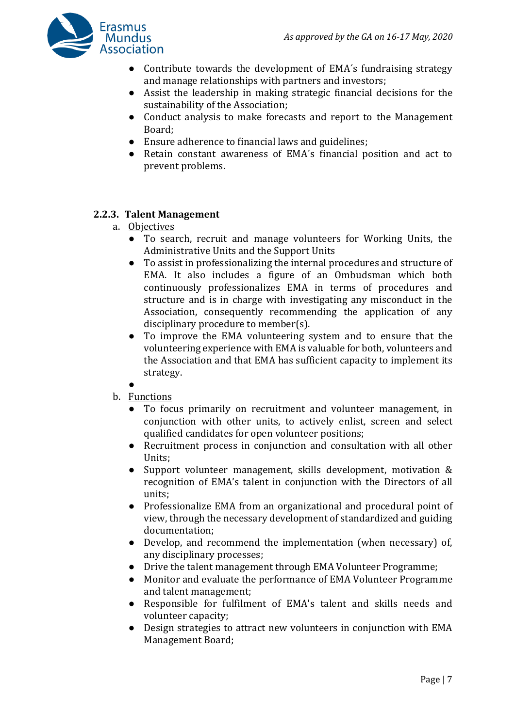

- Contribute towards the development of EMA's fundraising strategy and manage relationships with partners and investors;
- Assist the leadership in making strategic financial decisions for the sustainability of the Association;
- Conduct analysis to make forecasts and report to the Management Board;
- Ensure adherence to financial laws and guidelines;
- Retain constant awareness of EMA´s financial position and act to prevent problems.

#### **2.2.3. Talent Management**

- a. Objectives
	- To search, recruit and manage volunteers for Working Units, the Administrative Units and the Support Units
	- To assist in professionalizing the internal procedures and structure of EMA. It also includes a figure of an Ombudsman which both continuously professionalizes EMA in terms of procedures and structure and is in charge with investigating any misconduct in the Association, consequently recommending the application of any disciplinary procedure to member(s).
	- To improve the EMA volunteering system and to ensure that the volunteering experience with EMA is valuable for both, volunteers and the Association and that EMA has sufficient capacity to implement its strategy.
	- $\bullet$
- b. Functions
	- To focus primarily on recruitment and volunteer management, in conjunction with other units, to actively enlist, screen and select qualified candidates for open volunteer positions;
	- Recruitment process in conjunction and consultation with all other Units;
	- Support volunteer management, skills development, motivation & recognition of EMA's talent in conjunction with the Directors of all units;
	- Professionalize EMA from an organizational and procedural point of view, through the necessary development of standardized and guiding documentation;
	- Develop, and recommend the implementation (when necessary) of, any disciplinary processes;
	- Drive the talent management through EMA Volunteer Programme;
	- Monitor and evaluate the performance of EMA Volunteer Programme and talent management;
	- Responsible for fulfilment of EMA's talent and skills needs and volunteer capacity;
	- Design strategies to attract new volunteers in conjunction with EMA Management Board;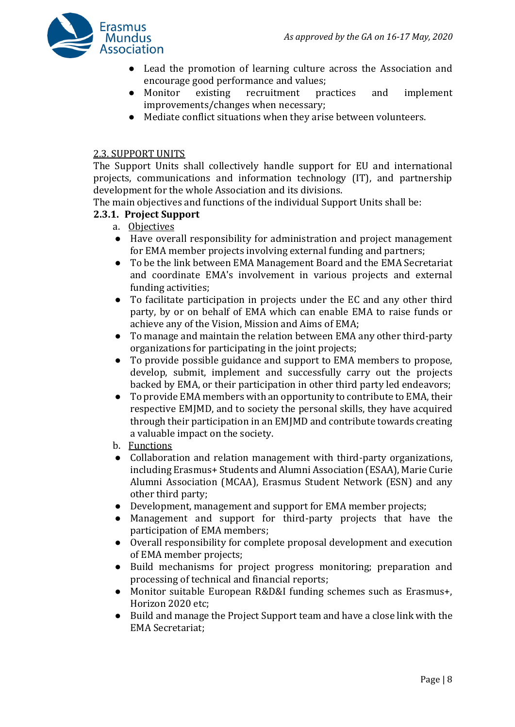

- Lead the promotion of learning culture across the Association and encourage good performance and values;
- Monitor existing recruitment practices and implement improvements/changes when necessary;
- Mediate conflict situations when they arise between volunteers.

#### 2.3. SUPPORT UNITS

The Support Units shall collectively handle support for EU and international projects, communications and information technology (IT), and partnership development for the whole Association and its divisions.

The main objectives and functions of the individual Support Units shall be:

# **2.3.1. Project Support**

- a. Objectives
- Have overall responsibility for administration and project management for EMA member projects involving external funding and partners;
- To be the link between EMA Management Board and the EMA Secretariat and coordinate EMA's involvement in various projects and external funding activities;
- To facilitate participation in projects under the EC and any other third party, by or on behalf of EMA which can enable EMA to raise funds or achieve any of the Vision, Mission and Aims of EMA;
- To manage and maintain the relation between EMA any other third-party organizations for participating in the joint projects;
- To provide possible guidance and support to EMA members to propose, develop, submit, implement and successfully carry out the projects backed by EMA, or their participation in other third party led endeavors;
- To provide EMA members with an opportunity to contribute to EMA, their respective EMJMD, and to society the personal skills, they have acquired through their participation in an EMJMD and contribute towards creating a valuable impact on the society.
- b. Functions
- Collaboration and relation management with third-party organizations, including Erasmus+ Students and Alumni Association (ESAA), Marie Curie Alumni Association (MCAA), Erasmus Student Network (ESN) and any other third party;
- Development, management and support for EMA member projects;
- Management and support for third-party projects that have the participation of EMA members;
- Overall responsibility for complete proposal development and execution of EMA member projects;
- Build mechanisms for project progress monitoring; preparation and processing of technical and financial reports;
- Monitor suitable European R&D&I funding schemes such as Erasmus+, Horizon 2020 etc;
- Build and manage the Project Support team and have a close link with the EMA Secretariat;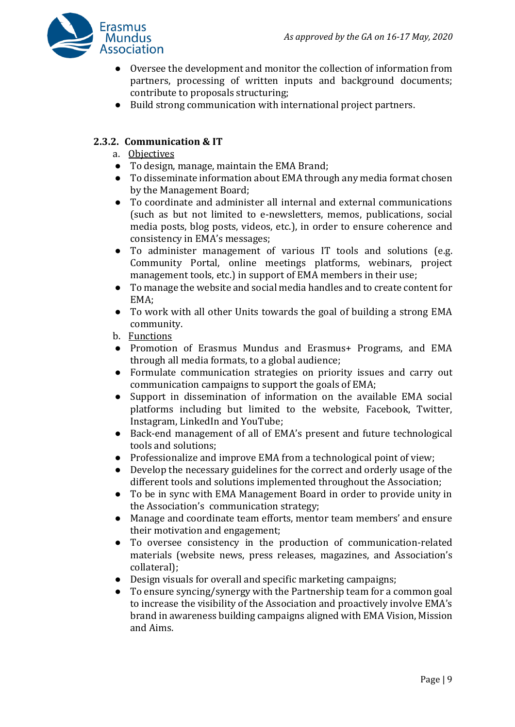

- Oversee the development and monitor the collection of information from partners, processing of written inputs and background documents; contribute to proposals structuring;
- Build strong communication with international project partners.

# **2.3.2. Communication & IT**

- a. Objectives
- To design, manage, maintain the EMA Brand;
- To disseminate information about EMA through any media format chosen by the Management Board;
- To coordinate and administer all internal and external communications (such as but not limited to e-newsletters, memos, publications, social media posts, blog posts, videos, etc.), in order to ensure coherence and consistency in EMA's messages;
- To administer management of various IT tools and solutions (e.g. Community Portal, online meetings platforms, webinars, project management tools, etc.) in support of EMA members in their use;
- To manage the website and social media handles and to create content for EMA;
- To work with all other Units towards the goal of building a strong EMA community.
- b. Functions
- Promotion of Erasmus Mundus and Erasmus+ Programs, and EMA through all media formats, to a global audience;
- Formulate communication strategies on priority issues and carry out communication campaigns to support the goals of EMA;
- Support in dissemination of information on the available EMA social platforms including but limited to the website, Facebook, Twitter, Instagram, LinkedIn and YouTube;
- Back-end management of all of EMA's present and future technological tools and solutions;
- Professionalize and improve EMA from a technological point of view;
- Develop the necessary guidelines for the correct and orderly usage of the different tools and solutions implemented throughout the Association;
- To be in sync with EMA Management Board in order to provide unity in the Association's communication strategy;
- Manage and coordinate team efforts, mentor team members' and ensure their motivation and engagement;
- To oversee consistency in the production of communication-related materials (website news, press releases, magazines, and Association's collateral);
- Design visuals for overall and specific marketing campaigns;
- To ensure syncing/synergy with the Partnership team for a common goal to increase the visibility of the Association and proactively involve EMA's brand in awareness building campaigns aligned with EMA Vision, Mission and Aims.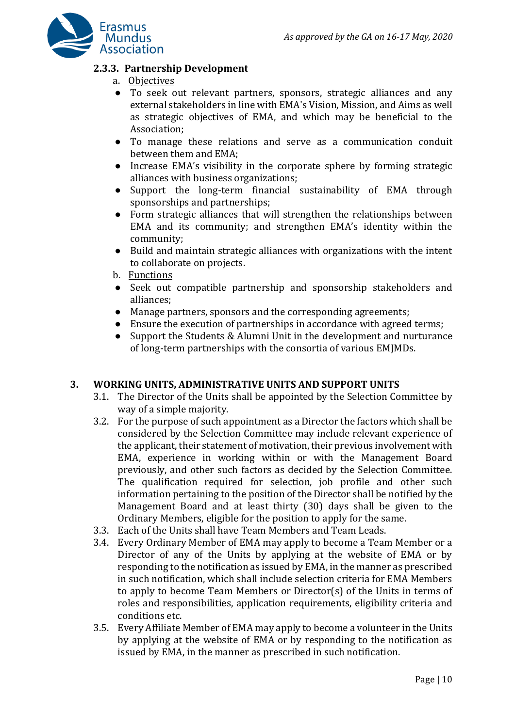

# **2.3.3. Partnership Development**

- a. Objectives
- To seek out relevant partners, sponsors, strategic alliances and any external stakeholders in line with EMA's Vision, Mission, and Aims as well as strategic objectives of EMA, and which may be beneficial to the Association;
- To manage these relations and serve as a communication conduit between them and EMA;
- Increase EMA's visibility in the corporate sphere by forming strategic alliances with business organizations;
- Support the long-term financial sustainability of EMA through sponsorships and partnerships;
- Form strategic alliances that will strengthen the relationships between EMA and its community; and strengthen EMA's identity within the community;
- Build and maintain strategic alliances with organizations with the intent to collaborate on projects.
- b. Functions
- Seek out compatible partnership and sponsorship stakeholders and alliances;
- Manage partners, sponsors and the corresponding agreements;
- Ensure the execution of partnerships in accordance with agreed terms;
- Support the Students & Alumni Unit in the development and nurturance of long-term partnerships with the consortia of various EMJMDs.

#### **3. WORKING UNITS, ADMINISTRATIVE UNITS AND SUPPORT UNITS**

- 3.1. The Director of the Units shall be appointed by the Selection Committee by way of a simple majority.
- 3.2. For the purpose of such appointment as a Director the factors which shall be considered by the Selection Committee may include relevant experience of the applicant, their statement of motivation, their previous involvement with EMA, experience in working within or with the Management Board previously, and other such factors as decided by the Selection Committee. The qualification required for selection, job profile and other such information pertaining to the position of the Director shall be notified by the Management Board and at least thirty (30) days shall be given to the Ordinary Members, eligible for the position to apply for the same.
- 3.3. Each of the Units shall have Team Members and Team Leads.
- 3.4. Every Ordinary Member of EMA may apply to become a Team Member or a Director of any of the Units by applying at the website of EMA or by responding to the notification as issued by EMA, in the manner as prescribed in such notification, which shall include selection criteria for EMA Members to apply to become Team Members or Director(s) of the Units in terms of roles and responsibilities, application requirements, eligibility criteria and conditions etc.
- 3.5. Every Affiliate Member of EMA may apply to become a volunteer in the Units by applying at the website of EMA or by responding to the notification as issued by EMA, in the manner as prescribed in such notification.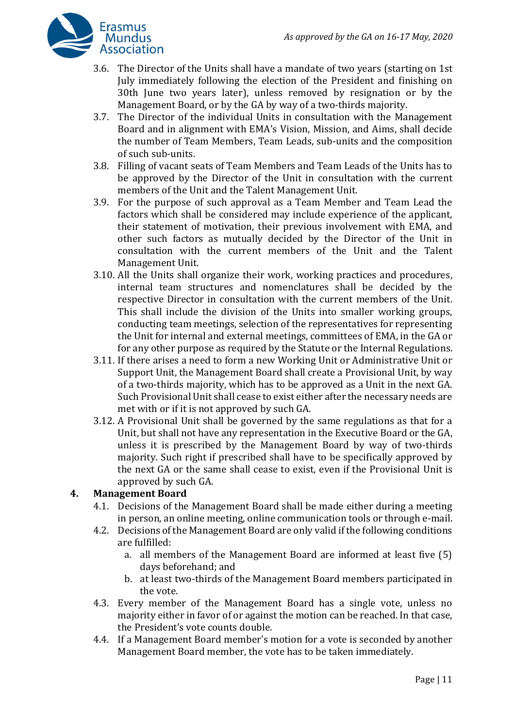

- 3.6. The Director of the Units shall have a mandate of two years (starting on 1st July immediately following the election of the President and finishing on 30th June two years later), unless removed by resignation or by the Management Board, or by the GA by way of a two-thirds majority.
- 3.7. The Director of the individual Units in consultation with the Management Board and in alignment with EMA's Vision, Mission, and Aims, shall decide the number of Team Members, Team Leads, sub-units and the composition of such sub-units.
- 3.8. Filling of vacant seats of Team Members and Team Leads of the Units has to be approved by the Director of the Unit in consultation with the current members of the Unit and the Talent Management Unit.
- 3.9. For the purpose of such approval as a Team Member and Team Lead the factors which shall be considered may include experience of the applicant, their statement of motivation, their previous involvement with EMA, and other such factors as mutually decided by the Director of the Unit in consultation with the current members of the Unit and the Talent Management Unit.
- 3.10. All the Units shall organize their work, working practices and procedures, internal team structures and nomenclatures shall be decided by the respective Director in consultation with the current members of the Unit. This shall include the division of the Units into smaller working groups, conducting team meetings, selection of the representatives for representing the Unit for internal and external meetings, committees of EMA, in the GA or for any other purpose as required by the Statute or the Internal Regulations.
- 3.11. If there arises a need to form a new Working Unit or Administrative Unit or Support Unit, the Management Board shall create a Provisional Unit, by way of a two-thirds majority, which has to be approved as a Unit in the next GA. Such Provisional Unit shall cease to exist either after the necessary needs are met with or if it is not approved by such GA.
- 3.12. A Provisional Unit shall be governed by the same regulations as that for a Unit, but shall not have any representation in the Executive Board or the GA, unless it is prescribed by the Management Board by way of two-thirds majority. Such right if prescribed shall have to be specifically approved by the next GA or the same shall cease to exist, even if the Provisional Unit is approved by such GA.

# **4. Management Board**

- 4.1. Decisions of the Management Board shall be made either during a meeting in person, an online meeting, online communication tools or through e-mail.
- 4.2. Decisions of the Management Board are only valid if the following conditions are fulfilled:
	- a. all members of the Management Board are informed at least five (5) days beforehand; and
	- b. at least two-thirds of the Management Board members participated in the vote.
- 4.3. Every member of the Management Board has a single vote, unless no majority either in favor of or against the motion can be reached. In that case, the President's vote counts double.
- 4.4. If a Management Board member's motion for a vote is seconded by another Management Board member, the vote has to be taken immediately.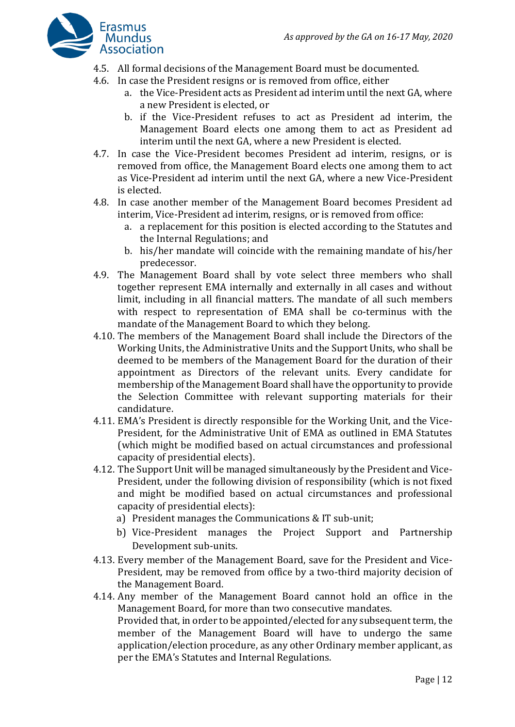

- 4.5. All formal decisions of the Management Board must be documented.
- 4.6. In case the President resigns or is removed from office, either
	- a. the Vice-President acts as President ad interim until the next GA, where a new President is elected, or
	- b. if the Vice-President refuses to act as President ad interim, the Management Board elects one among them to act as President ad interim until the next GA, where a new President is elected.
- 4.7. In case the Vice-President becomes President ad interim, resigns, or is removed from office, the Management Board elects one among them to act as Vice-President ad interim until the next GA, where a new Vice-President is elected.
- 4.8. In case another member of the Management Board becomes President ad interim, Vice-President ad interim, resigns, or is removed from office:
	- a. a replacement for this position is elected according to the Statutes and the Internal Regulations; and
	- b. his/her mandate will coincide with the remaining mandate of his/her predecessor.
- 4.9. The Management Board shall by vote select three members who shall together represent EMA internally and externally in all cases and without limit, including in all financial matters. The mandate of all such members with respect to representation of EMA shall be co-terminus with the mandate of the Management Board to which they belong.
- 4.10. The members of the Management Board shall include the Directors of the Working Units, the Administrative Units and the Support Units, who shall be deemed to be members of the Management Board for the duration of their appointment as Directors of the relevant units. Every candidate for membership of the Management Board shall have the opportunity to provide the Selection Committee with relevant supporting materials for their candidature.
- 4.11. EMA's President is directly responsible for the Working Unit, and the Vice-President, for the Administrative Unit of EMA as outlined in EMA Statutes (which might be modified based on actual circumstances and professional capacity of presidential elects).
- 4.12. The Support Unit will be managed simultaneously by the President and Vice-President, under the following division of responsibility (which is not fixed and might be modified based on actual circumstances and professional capacity of presidential elects):
	- a) President manages the Communications & IT sub-unit;
	- b) Vice-President manages the Project Support and Partnership Development sub-units.
- 4.13. Every member of the Management Board, save for the President and Vice-President, may be removed from office by a two-third majority decision of the Management Board.
- 4.14. Any member of the Management Board cannot hold an office in the Management Board, for more than two consecutive mandates. Provided that, in order to be appointed/elected for any subsequent term, the member of the Management Board will have to undergo the same application/election procedure, as any other Ordinary member applicant, as per the EMA's Statutes and Internal Regulations.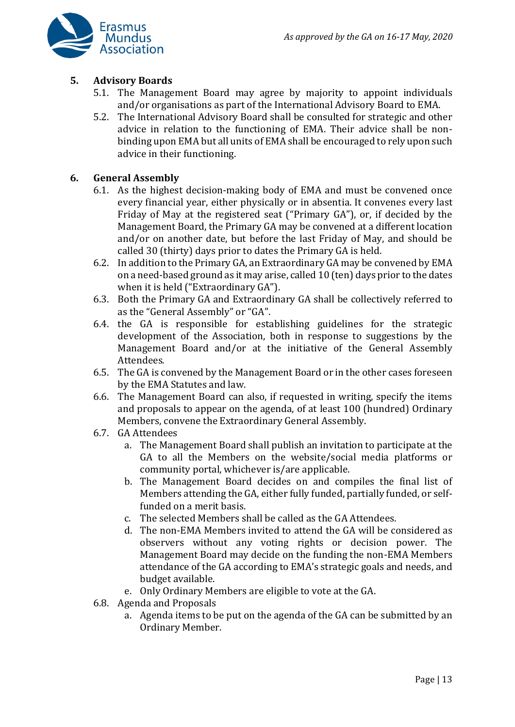

#### **5. Advisory Boards**

- 5.1. The Management Board may agree by majority to appoint individuals and/or organisations as part of the International Advisory Board to EMA.
- 5.2. The International Advisory Board shall be consulted for strategic and other advice in relation to the functioning of EMA. Their advice shall be nonbinding upon EMA but all units of EMA shall be encouraged to rely upon such advice in their functioning.

#### **6. General Assembly**

- 6.1. As the highest decision-making body of EMA and must be convened once every financial year, either physically or in absentia. It convenes every last Friday of May at the registered seat ("Primary GA"), or, if decided by the Management Board, the Primary GA may be convened at a different location and/or on another date, but before the last Friday of May, and should be called 30 (thirty) days prior to dates the Primary GA is held.
- 6.2. In addition to the Primary GA, an Extraordinary GA may be convened by EMA on a need-based ground as it may arise, called 10 (ten) days prior to the dates when it is held ("Extraordinary GA").
- 6.3. Both the Primary GA and Extraordinary GA shall be collectively referred to as the "General Assembly" or "GA".
- 6.4. the GA is responsible for establishing guidelines for the strategic development of the Association, both in response to suggestions by the Management Board and/or at the initiative of the General Assembly Attendees.
- 6.5. The GA is convened by the Management Board or in the other cases foreseen by the EMA Statutes and law.
- 6.6. The Management Board can also, if requested in writing, specify the items and proposals to appear on the agenda, of at least 100 (hundred) Ordinary Members, convene the Extraordinary General Assembly.
- 6.7. GA Attendees
	- a. The Management Board shall publish an invitation to participate at the GA to all the Members on the website/social media platforms or community portal, whichever is/are applicable.
	- b. The Management Board decides on and compiles the final list of Members attending the GA, either fully funded, partially funded, or selffunded on a merit basis.
	- c. The selected Members shall be called as the GA Attendees.
	- d. The non-EMA Members invited to attend the GA will be considered as observers without any voting rights or decision power. The Management Board may decide on the funding the non-EMA Members attendance of the GA according to EMA's strategic goals and needs, and budget available.
	- e. Only Ordinary Members are eligible to vote at the GA.
- 6.8. Agenda and Proposals
	- a. Agenda items to be put on the agenda of the GA can be submitted by an Ordinary Member.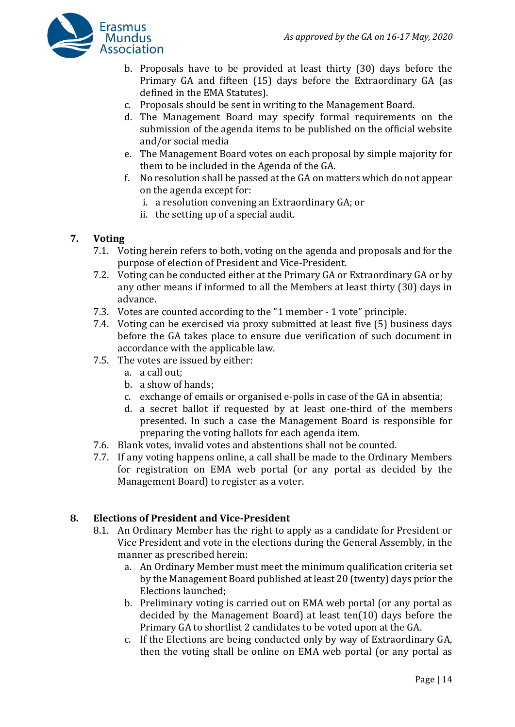

- b. Proposals have to be provided at least thirty (30) days before the Primary GA and fifteen (15) days before the Extraordinary GA (as defined in the EMA Statutes).
- c. Proposals should be sent in writing to the Management Board.
- d. The Management Board may specify formal requirements on the submission of the agenda items to be published on the official website and/or social media
- e. The Management Board votes on each proposal by simple majority for them to be included in the Agenda of the GA.
- f. No resolution shall be passed at the GA on matters which do not appear on the agenda except for:
	- i. a resolution convening an Extraordinary GA; or
	- ii. the setting up of a special audit.

#### **7. Voting**

- 7.1. Voting herein refers to both, voting on the agenda and proposals and for the purpose of election of President and Vice-President.
- 7.2. Voting can be conducted either at the Primary GA or Extraordinary GA or by any other means if informed to all the Members at least thirty (30) days in advance.
- 7.3. Votes are counted according to the "1 member 1 vote" principle.
- 7.4. Voting can be exercised via proxy submitted at least five (5) business days before the GA takes place to ensure due verification of such document in accordance with the applicable law.
- 7.5. The votes are issued by either:
	- a. a call out;
	- b. a show of hands;
	- c. exchange of emails or organised e-polls in case of the GA in absentia;
	- d. a secret ballot if requested by at least one-third of the members presented. In such a case the Management Board is responsible for preparing the voting ballots for each agenda item.
- 7.6. Blank votes, invalid votes and abstentions shall not be counted.
- 7.7. If any voting happens online, a call shall be made to the Ordinary Members for registration on EMA web portal (or any portal as decided by the Management Board) to register as a voter.

#### **8. Elections of President and Vice-President**

- 8.1. An Ordinary Member has the right to apply as a candidate for President or Vice President and vote in the elections during the General Assembly, in the manner as prescribed herein:
	- a. An Ordinary Member must meet the minimum qualification criteria set by the Management Board published at least 20 (twenty) days prior the Elections launched;
	- b. Preliminary voting is carried out on EMA web portal (or any portal as decided by the Management Board) at least ten(10) days before the Primary GA to shortlist 2 candidates to be voted upon at the GA.
	- c. If the Elections are being conducted only by way of Extraordinary GA, then the voting shall be online on EMA web portal (or any portal as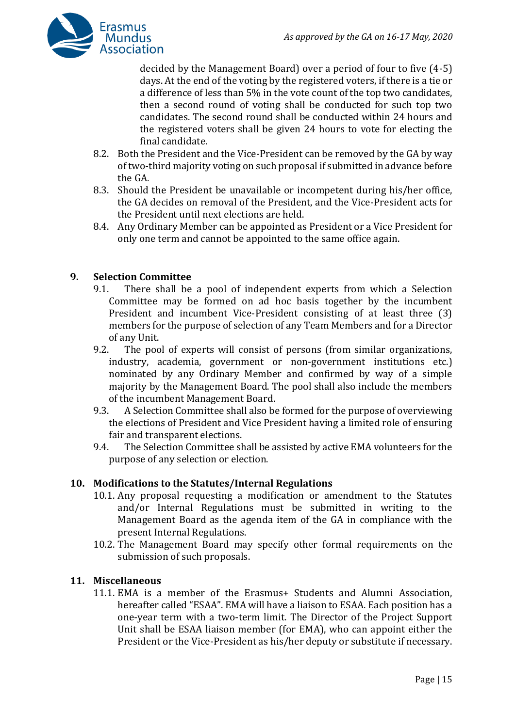

decided by the Management Board) over a period of four to five (4-5) days. At the end of the voting by the registered voters, if there is a tie or a difference of less than 5% in the vote count of the top two candidates, then a second round of voting shall be conducted for such top two candidates. The second round shall be conducted within 24 hours and the registered voters shall be given 24 hours to vote for electing the final candidate.

- 8.2. Both the President and the Vice-President can be removed by the GA by way of two-third majority voting on such proposal if submitted in advance before the GA.
- 8.3. Should the President be unavailable or incompetent during his/her office, the GA decides on removal of the President, and the Vice-President acts for the President until next elections are held.
- 8.4. Any Ordinary Member can be appointed as President or a Vice President for only one term and cannot be appointed to the same office again.

#### **9. Selection Committee**

- 9.1. There shall be a pool of independent experts from which a Selection Committee may be formed on ad hoc basis together by the incumbent President and incumbent Vice-President consisting of at least three (3) members for the purpose of selection of any Team Members and for a Director of any Unit.
- 9.2. The pool of experts will consist of persons (from similar organizations, industry, academia, government or non-government institutions etc.) nominated by any Ordinary Member and confirmed by way of a simple majority by the Management Board. The pool shall also include the members of the incumbent Management Board.
- 9.3. A Selection Committee shall also be formed for the purpose of overviewing the elections of President and Vice President having a limited role of ensuring fair and transparent elections.
- 9.4. The Selection Committee shall be assisted by active EMA volunteers for the purpose of any selection or election.

#### **10. Modifications to the Statutes/Internal Regulations**

- 10.1. Any proposal requesting a modification or amendment to the Statutes and/or Internal Regulations must be submitted in writing to the Management Board as the agenda item of the GA in compliance with the present Internal Regulations.
- 10.2. The Management Board may specify other formal requirements on the submission of such proposals.

#### **11. Miscellaneous**

11.1. EMA is a member of the Erasmus+ Students and Alumni Association, hereafter called "ESAA". EMA will have a liaison to ESAA. Each position has a one-year term with a two-term limit. The Director of the Project Support Unit shall be ESAA liaison member (for EMA), who can appoint either the President or the Vice-President as his/her deputy or substitute if necessary.